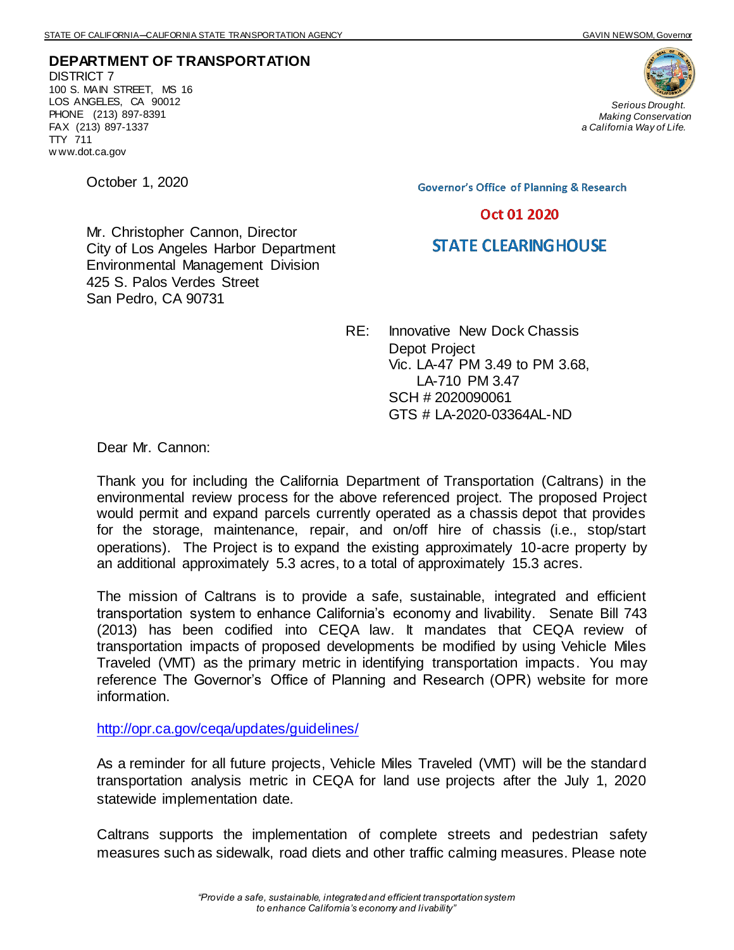**DEPARTMENT OF TRANSPORTATION** DISTRICT 7 100 S. MAIN STREET, MS 16 LOS ANGELES, CA 90012 PHONE (213) 897-8391 FAX (213) 897-1337 TTY 711 w ww.dot.ca.gov

Mr. Christopher Cannon, Director

425 S. Palos Verdes Street

San Pedro, CA 90731

City of Los Angeles Harbor Department Environmental Management Division

October 1, 2020

**Governor's Office of Planning & Research** 

## Oct 01 2020

## **STATE CLEARING HOUSE**

RE: Innovative New Dock Chassis Depot Project Vic. LA-47 PM 3.49 to PM 3.68, LA-710 PM 3.47 SCH # 2020090061 GTS # LA-2020-03364AL-ND

Dear Mr. Cannon:

Thank you for including the California Department of Transportation (Caltrans) in the environmental review process for the above referenced project. The proposed Project would permit and expand parcels currently operated as a chassis depot that provides for the storage, maintenance, repair, and on/off hire of chassis (i.e., stop/start operations). The Project is to expand the existing approximately 10-acre property by an additional approximately 5.3 acres, to a total of approximately 15.3 acres.

The mission of Caltrans is to provide a safe, sustainable, integrated and efficient transportation system to enhance California's economy and livability. Senate Bill 743 (2013) has been codified into CEQA law. It mandates that CEQA review of transportation impacts of proposed developments be modified by using Vehicle Miles Traveled (VMT) as the primary metric in identifying transportation impacts. You may reference The Governor's Office of Planning and Research (OPR) website for more information.

<http://opr.ca.gov/ceqa/updates/guidelines/>

As a reminder for all future projects, Vehicle Miles Traveled (VMT) will be the standard transportation analysis metric in CEQA for land use projects after the July 1, 2020 statewide implementation date.

Caltrans supports the implementation of complete streets and pedestrian safety measures such as sidewalk, road diets and other traffic calming measures. Please note



*Serious Drought. Making Conservation a California Way of Life.*